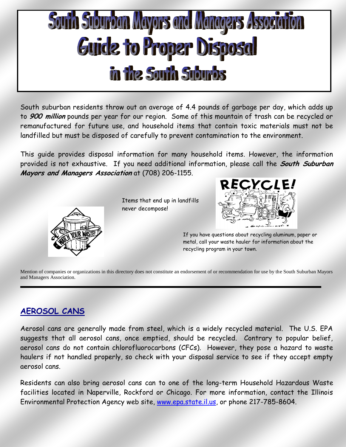# South Suburban Mayors and Managers Associa Guide to Proper Disposal in the South Suburbs

South suburban residents throw out an average of 4.4 pounds of garbage per day, which adds up to **900 million** pounds per year for our region. Some of this mountain of trash can be recycled or remanufactured for future use, and household items that contain toxic materials must not be landfilled but must be disposed of carefully to prevent contamination to the environment.

This guide provides disposal information for many household items. However, the information provided is not exhaustive. If you need additional information, please call the **South Suburban Mayors and Managers Association** at (708) 206-1155.



Items that end up in landfills never decompose!



If you have questions about recycling aluminum, paper or metal, call your waste hauler for information about the recycling program in your town.

Mention of companies or organizations in this directory does not constitute an endorsement of or recommendation for use by the South Suburban Mayors and Managers Association.

# **AEROSOL CANS**

Aerosol cans are generally made from steel, which is a widely recycled material. The U.S. EPA suggests that all aerosol cans, once emptied, should be recycled. Contrary to popular belief, aerosol cans do not contain chlorofluorocarbons (CFCs). However, they pose a hazard to waste haulers if not handled properly, so check with your disposal service to see if they accept empty aerosol cans.

Residents can also bring aerosol cans can to one of the long-term Household Hazardous Waste facilities located in Naperville, Rockford or Chicago. For more information, contact the Illinois Environmental Protection Agency web site, [www.epa.state.il.us,](http://www.epa.sate.il.us/) or phone 217-785-8604.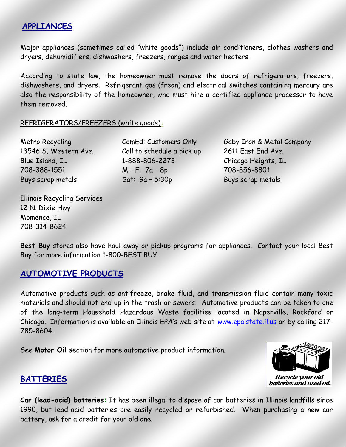### **APPLIANCES**

Major appliances (sometimes called "white goods") include air conditioners, clothes washers and dryers, dehumidifiers, dishwashers, freezers, ranges and water heaters.

According to state law, the homeowner must remove the doors of refrigerators, freezers, dishwashers, and dryers. Refrigerant gas (freon) and electrical switches containing mercury are also the responsibility of the homeowner, who must hire a certified appliance processor to have them removed.

#### REFRIGERATORS/FREEZERS (white goods)**:**

| Metro Recycling       |
|-----------------------|
| 13546 S. Western Ave. |
| Blue Island, IL       |
| 708-388-1551          |
| Buys scrap metals     |

Call to schedule a pick up 2611 East End Ave. 1-888-806-2273 Chicago Heights, IL 708-388-1551 M – F: 7a – 8p 708-856-8801 Sat: 9a – 5:30p Buys scrap metals

ComEd: Customers Only Gaby Iron & Metal Company

Illinois Recycling Services 12 N. Dixie Hwy Momence, IL 708-314-8624

**Best Buy** stores also have haul-away or pickup programs for appliances. Contact your local Best Buy for more information 1-800-BEST BUY.

# **AUTOMOTIVE PRODUCTS**

Automotive products such as antifreeze, brake fluid, and transmission fluid contain many toxic materials and should not end up in the trash or sewers. Automotive products can be taken to one of the long-term Household Hazardous Waste facilities located in Naperville, Rockford or Chicago**.** Information is available on Illinois EPA's web site at [www.epa.state.il.us](http://www.epa.sate.il.us/) or by calling 217- 785-8604.

See **Motor Oil** section for more automotive product information.



# **BATTERIES**

**Car (lead-acid) batteries:** It has been illegal to dispose of car batteries in Illinois landfills since 1990, but lead-acid batteries are easily recycled or refurbished. When purchasing a new car battery, ask for a credit for your old one.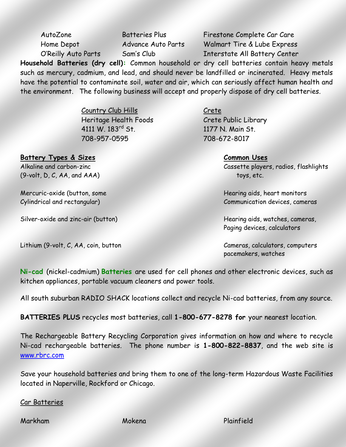AutoZone Batteries Plus Firestone Complete Car Care Home Depot Advance Auto Parts Walmart Tire & Lube Express O'Reilly Auto Parts Sam's Club Interstate All Battery Center

**Household Batteries (dry cell):** Common household or dry cell batteries contain heavy metals such as mercury, cadmium, and lead, and should never be landfilled or incinerated. Heavy metals have the potential to contaminate soil, water and air, which can seriously affect human health and the environment.The following business will accept and properly dispose of dry cell batteries.

> Country Club Hills Crete Heritage Health Foods Crete Public Library 4111 W. 183<sup>rd</sup> St. 1177 N. Main St. 708-957-0595 708-672-8017

**Battery Types & Sizes Common Uses** 

 $(9-volt, D, C, AA, and AAA)$  toys, etc.

Mercuric-oxide (button, some Hearing aids, heart monitors

Silver-oxide and zinc-air (button) Hearing aids, watches, cameras,

Alkaline and carbon-zinc Cassette players, radios, flashlights

Cylindrical and rectangular) Communication devices, cameras

Paging devices, calculators

Lithium (9-volt, C, AA, coin, button Cameras, calculators, computers pacemakers, watches

**Ni-cad** (nickel-cadmium) **Batteries** are used for cell phones and other electronic devices, such as kitchen appliances, portable vacuum cleaners and power tools.

All south suburban RADIO SHACK locations collect and recycle Ni-cad batteries, from any source.

**BATTERIES PLUS** recycles most batteries, call **1-800-677-8278 for** your nearest location.

The Rechargeable Battery Recycling Corporation gives information on how and where to recycle Ni-cad rechargeable batteries. The phone number is **1-800-822-8837**, and the web site is [www.rbrc.com](http://www.rbrc.com/)

Save your household batteries and bring them to one of the long-term Hazardous Waste Facilities located in Naperville, Rockford or Chicago.

#### Car Batteries

Markham Mokena Plainfield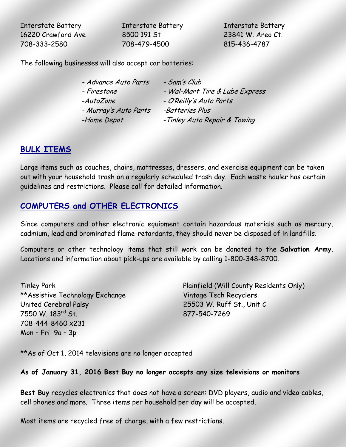Interstate Battery Interstate Battery Interstate Battery 16220 Crawford Ave 8500 191 St 23841 W. Areo Ct. 708-333-2580 708-479-4500 815-436-4787

The following businesses will also accept car batteries:

| - Advance Auto Parts  | - Sam's Club                   |
|-----------------------|--------------------------------|
| - Firestone           | - Wal-Mart Tire & Lube Express |
| -AutoZone             | - O'Reilly's Auto Parts        |
| - Murray's Auto Parts | -Batteries Plus                |
| -Home Depot           | - Tinley Auto Repair & Towing  |

#### **BULK ITEMS**

Large items such as couches, chairs, mattresses, dressers, and exercise equipment can be taken out with your household trash on a regularly scheduled trash day. Each waste hauler has certain guidelines and restrictions. Please call for detailed information.

# **COMPUTERS and OTHER ELECTRONICS**

Since computers and other electronic equipment contain hazardous materials such as mercury, cadmium, lead and brominated flame-retardants, they should never be disposed of in landfills.

Computers or other technology items that still work can be donated to the **Salvation Army**. Locations and information about pick-ups are available by calling 1-800-348-8700.

\*\*Assistive Technology Exchange Vintage Tech Recyclers United Cerebral Palsy 25503 W. Ruff St., Unit C 7550 W. 183rd St. 877-540-7269 708-444-8460 x231 Mon – Fri 9a – 3p

Tinley Park Plainfield (Will County Residents Only)

\*\*As of Oct 1, 2014 televisions are no longer accepted

#### **As of January 31, 2016 Best Buy no longer accepts any size televisions or monitors**

**Best Buy** recycles electronics that does not have a screen: DVD players, audio and video cables, cell phones and more. Three items per household per day will be accepted.

Most items are recycled free of charge, with a few restrictions.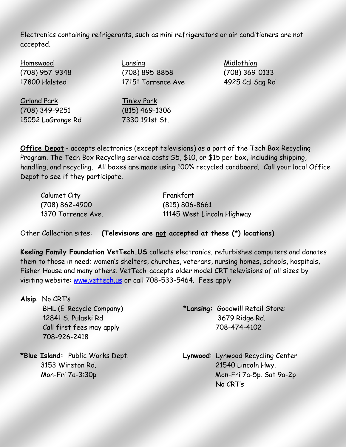Electronics containing refrigerants, such as mini refrigerators or air conditioners are not accepted.

Homewood Lansing Lansing Midlothian (708) 957-9348 (708) 895-8858 (708) 369-0133 17800 Halsted 17151 Torrence Ave 4925 Cal Sag Rd Orland Park Tinley Park

(708) 349-9251 (815) 469-1306 15052 LaGrange Rd 7330 191st St.

**Office Depot** - accepts electronics (except televisions) as a part of the Tech Box Recycling Program. The Tech Box Recycling service costs \$5, \$10, or \$15 per box, including shipping, handling, and recycling. All boxes are made using 100% recycled cardboard. Call your local Office Depot to see if they participate.

| Calumet City       | Frankfort                  |
|--------------------|----------------------------|
| $(708) 862 - 4900$ | $(815) 806 - 8661$         |
| 1370 Torrence Ave. | 11145 West Lincoln Highway |

Other Collection sites: **(Televisions are not accepted at these (\*) locations)**

**Keeling Family Foundation VetTech.US** collects electronics, refurbishes computers and donates them to those in need; women's shelters, churches, veterans, nursing homes, schools, hospitals, Fisher House and many others. VetTech accepts older model CRT televisions of all sizes by visiting website: [www.vettech.us](http://www.vettech.us/) or call 708-533-5464. Fees apply

**Alsip**: No CRT's BHL (E-Recycle Company) \***Lansing:** Goodwill Retail Store: 12841 S. Pulaski Rd 3679 Ridge Rd. Call first fees may apply 708-474-4102 708-926-2418

**\*Blue Island:** Public Works Dept. **Lynwood**: Lynwood Recycling Center 3153 Wireton Rd. 21540 Lincoln Hwy. Mon-Fri 7a-3:30p Mon-Fri 7a-5p. Sat 9a-2p No CRT's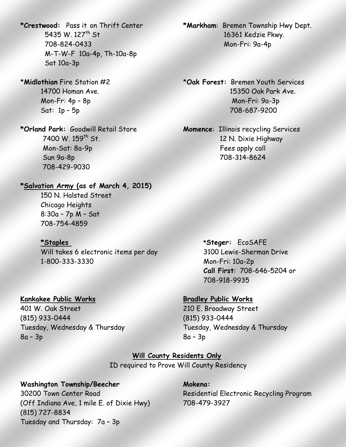708-824-0433 Mon-Fri: 9a-4p M-T-W-F 10a-4p, Th-10a-8p Sat 10a-3p

Mon-Sat: 8a-9p Fees apply call Sun 9a-8p 708-314-8624 708-429-9030

#### **\*Salvation Army (as of March 4, 2015)**

150 N. Halsted Street Chicago Heights 8:30a – 7p M – Sat 708-754-4859

Will takes 6 electronic items per day 3100 Lewis-Sherman Drive 1-800-333-3330 Mon-Fri: 10a-2p

#### **Kankakee Public Works Bradley Public Works**

401 W. Oak Street 210 E. Broadway Street (815) 933-0444 (815) 933-0444 Tuesday, Wednesday & Thursday Tuesday, Wednesday & Thursday  $8a - 3p$  8a – 3p

**\*Crestwood:** Pass it on Thrift Center **\*Markham**: Bremen Township Hwy Dept. 5435 W. 127th St 16361 Kedzie Pkwy.

\***Midlothian** Fire Station #2 \***Oak Forest:** Bremen Youth Services 14700 Homan Ave. 15350 Oak Park Ave. Mon-Fr: 4p – 8p Mon-Fri: 9a-3p Sat: 1p – 5p 708-687-9200

**\*Orland Park:** Goodwill Retail Store **Momence**: Illinois recycling Services 7400 W. 159<sup>th</sup> St. 12 N. Dixie Highway

**\*Staples \*Steger:** EcoSAFE **Call First**: 708-646-5204 or 708-918-9935

**Will County Residents Only** ID required to Prove Will County Residency

#### Washington Township/Beecher **Mokena: Mokena:**

(Off Indiana Ave, 1 mile E. of Dixie Hwy) 708-479-3927 (815) 727-8834 Tuesday and Thursday: 7a – 3p

30200 Town Center Road Residential Electronic Recycling Program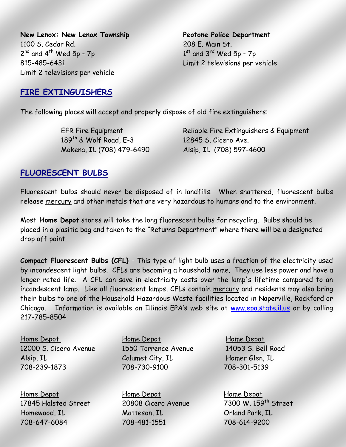**New Lenox: New Lenox Township Peotone Police Department** 1100 S. Cedar Rd. 208 E. Main St.  $2^{nd}$  and  $4^{th}$  Wed 5p - 7p 1 815-485-6431 Limit 2 televisions per vehicle Limit 2 televisions per vehicle

 $1<sup>st</sup>$  and  $3<sup>rd</sup>$  Wed 5p - 7p

**FIRE EXTINGUISHERS**

The following places will accept and properly dispose of old fire extinguishers:

189<sup>th</sup> & Wolf Road, E-3 12845 S. Cicero Ave. Mokena, IL (708) 479-6490 Alsip, IL (708) 597-4600

EFR Fire Equipment Reliable Fire Extinguishers & Equipment

#### **FLUORESCENT BULBS**

Fluorescent bulbs should never be disposed of in landfills. When shattered, fluorescent bulbs release mercury and other metals that are very hazardous to humans and to the environment.

Most **Home Depot** stores will take the long fluorescent bulbs for recycling. Bulbs should be placed in a plasitic bag and taken to the "Returns Department" where there will be a designated drop off point.

**Compact Fluorescent Bulbs (CFL)** - This type of light bulb uses a fraction of the electricity used by incandescent light bulbs. CFLs are becoming a household name. They use less power and have a longer rated life. A CFL can save in electricity costs over the lamp's lifetime compared to an incandescent lamp. Like all fluorescent lamps, CFLs contain mercury and residents may also bring their bulbs to one of the Household Hazardous Waste facilities located in Naperville, Rockford or Chicago. Information is available on Illinois EPA's web site at [www.epa.state.il.us](http://www.epa.state.il.us/) or by calling 217-785-8504

Home Depot Home Depot Home Depot

Home Depot Home Depot Home Depot 17845 Halsted Street 20808 Cicero Avenue 7300 W. 159th Street Homewood, IL Matteson, IL Orland Park, IL 708-647-6084 708-481-1551 708-614-9200

12000 S. Cicero Avenue 1550 Torrence Avenue 14053 S. Bell Road Alsip, IL Calumet City, IL Homer Glen, IL 708-239-1873 708-730-9100 708-301-5139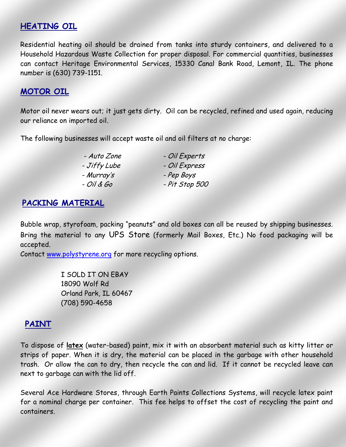#### **HEATING OIL**

Residential heating oil should be drained from tanks into sturdy containers, and delivered to a Household Hazardous Waste Collection for proper disposal. For commercial quantities, businesses can contact Heritage Environmental Services, 15330 Canal Bank Road, Lemont, IL. The phone number is (630) 739-1151.

#### **MOTOR OIL**

Motor oil never wears out; it just gets dirty. Oil can be recycled, refined and used again, reducing our reliance on imported oil.

The following businesses will accept waste oil and oil filters at no charge:

| - Auto Zone  | - Oil Experts  |
|--------------|----------------|
| - Jiffy Lube | - Oil Express  |
| - Murray's   | - Pep Boys     |
| - Oil & Go   | - Pit Stop 500 |

#### **PACKING MATERIAL**

Bubble wrap, styrofoam, packing "peanuts" and old boxes can all be reused by shipping businesses. Bring the material to any UPS Store (formerly Mail Boxes, Etc.) No food packaging will be accepted.

Contact [www.polystyrene.org](http://www.polystyrene.org/) for more recycling options.

I SOLD IT ON EBAY 18090 Wolf Rd Orland Park, IL 60467 (708) 590-4658

#### **PAINT**

To dispose of **latex** (water-based) paint, mix it with an absorbent material such as kitty litter or strips of paper. When it is dry, the material can be placed in the garbage with other household trash. Or allow the can to dry, then recycle the can and lid. If it cannot be recycled leave can next to garbage can with the lid off.

Several Ace Hardware Stores, through Earth Paints Collections Systems, will recycle latex paint for a nominal charge per container. This fee helps to offset the cost of recycling the paint and containers.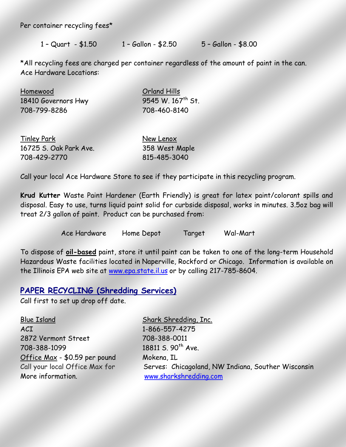Per container recycling fees\*

1 – Quart - \$1.50 1 – Gallon - \$2.50 5 – Gallon - \$8.00

\*All recycling fees are charged per container regardless of the amount of paint in the can. Ace Hardware Locations:

| Homewood            | Orland Hills                  |  |
|---------------------|-------------------------------|--|
| 18410 Governors Hwy | 9545 W. 167 <sup>th</sup> St. |  |
| 708-799-8286        | 708-460-8140                  |  |

| <b>Tinley Park</b>     | New Lenox      |
|------------------------|----------------|
| 16725 S. Oak Park Ave. | 358 West Maple |
| 708-429-2770           | 815-485-3040   |

Call your local Ace Hardware Store to see if they participate in this recycling program.

**Krud Kutter** Waste Paint Hardener (Earth Friendly) is great for latex paint/colorant spills and disposal. Easy to use, turns liquid paint solid for curbside disposal, works in minutes. 3.5oz bag will treat 2/3 gallon of paint. Product can be purchased from:

Ace Hardware Home Depot Target Wal-Mart

To dispose of **oil-based** paint, store it until paint can be taken to one of the long-term Household Hazardous Waste facilities located in Naperville, Rockford or Chicago. Information is available on the Illinois EPA web site at [www.epa.state.il.us](http://www.epa.sate.il.us/) or by calling 217-785-8604.

#### **PAPER RECYCLING (Shredding Services)**

Call first to set up drop off date.

Blue Island Shark Shredding, Inc. ACI 1-866-557-4275 2872 Vermont Street 708-388-0011 708-388-1099 18811 S. 90<sup>th</sup> Ave. Office Max - \$0.59 per pound Mokena, IL More information. [www.sharkshredding.com](http://www.sharkshredding.com/)

Call your local Office Max for Serves: Chicagoland, NW Indiana, Souther Wisconsin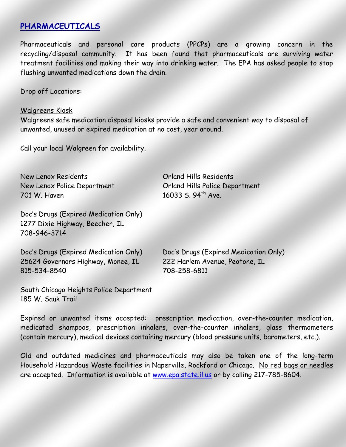#### **PHARMACEUTICALS**

Pharmaceuticals and personal care products (PPCPs) are a growing concern in the recycling/disposal community. It has been found that pharmaceuticals are surviving water treatment facilities and making their way into drinking water. The EPA has asked people to stop flushing unwanted medications down the drain.

Drop off Locations:

#### Walgreens Kiosk

Walgreens safe medication disposal kiosks provide a safe and convenient way to disposal of unwanted, unused or expired medication at no cost, year around.

Call your local Walgreen for availability.

New Lenox Residents Orland Hills Residents 701 W. Haven 16033 S. 94<sup>th</sup> Ave.

Doc's Drugs (Expired Medication Only) 1277 Dixie Highway, Beecher, IL 708-946-3714

New Lenox Police Department Contained Article Department

| Doc's Drugs (Expired Medication Only) | Doc's Drugs (Expired Medication Only) |
|---------------------------------------|---------------------------------------|
| 25624 Governors Highway, Monee, IL    | 222 Harlem Avenue, Peotone, IL        |
| 815-534-8540                          | 708-258-6811                          |

South Chicago Heights Police Department 185 W. Sauk Trail

Expired or unwanted items accepted: prescription medication, over-the-counter medication, medicated shampoos, prescription inhalers, over-the-counter inhalers, glass thermometers (contain mercury), medical devices containing mercury (blood pressure units, barometers, etc.).

Old and outdated medicines and pharmaceuticals may also be taken one of the long-term Household Hazardous Waste facilities in Naperville, Rockford or Chicago. No red bags or needles are accepted. Information is available at [www.epa.state.il.us](http://www.epa.sate.il.us/) or by calling 217-785-8604.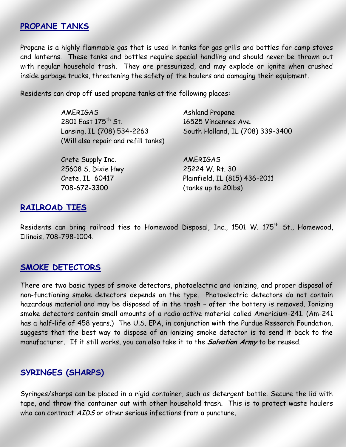#### **PROPANE TANKS**

Propane is a highly flammable gas that is used in tanks for gas grills and bottles for camp stoves and lanterns. These tanks and bottles require special handling and should never be thrown out with regular household trash. They are pressurized, and may explode or ignite when crushed inside garbage trucks, threatening the safety of the haulers and damaging their equipment.

Residents can drop off used propane tanks at the following places:

AMERIGAS Ashland Propane 2801 East 175th St. 16525 Vincennes Ave. (Will also repair and refill tanks)

Crete Supply Inc. AMERIGAS

25608 S. Dixie Hwy 25224 W. Rt. 30 708-672-3300 (tanks up to 20lbs)

Lansing, IL (708) 534-2263 South Holland, IL (708) 339-3400

Crete, IL 60417 Plainfield, IL (815) 436-2011

### **RAILROAD TIES**

Residents can bring railroad ties to Homewood Disposal, Inc., 1501 W. 175<sup>th</sup> St., Homewood, Illinois, 708-798-1004.

# **SMOKE DETECTORS**

There are two basic types of smoke detectors, photoelectric and ionizing, and proper disposal of non-functioning smoke detectors depends on the type. Photoelectric detectors do not contain hazardous material and may be disposed of in the trash – after the battery is removed. Ionizing smoke detectors contain small amounts of a radio active material called Americium-241. (Am-241 has a half-life of 458 years.) The U.S. EPA, in conjunction with the Purdue Research Foundation, suggests that the best way to dispose of an ionizing smoke detector is to send it back to the manufacturer. If it still works, you can also take it to the **Salvation Army** to be reused.

# **SYRINGES (SHARPS)**

Syringes/sharps can be placed in a rigid container, such as detergent bottle. Secure the lid with tape, and throw the container out with other household trash. This is to protect waste haulers who can contract AIDS or other serious infections from a puncture,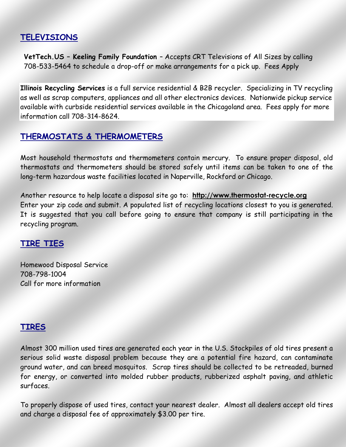# **TELEVISIONS**

**VetTech.US – Keeling Family Foundation** – Accepts CRT Televisions of All Sizes by calling 708-533-5464 to schedule a drop-off or make arrangements for a pick up. Fees Apply

**Illinois Recycling Services** is a full service residential & B2B recycler. Specializing in TV recycling as well as scrap computers, appliances and all other electronics devices. Nationwide pickup service available with curbside residential services available in the Chicagoland area. Fees apply for more information call 708-314-8624.

# **THERMOSTATS & THERMOMETERS**

Most household thermostats and thermometers contain mercury. To ensure proper disposal, old thermostats and thermometers should be stored safely until items can be taken to one of the long-term hazardous waste facilities located in Naperville, Rockford or Chicago.

Another resource to help locate a disposal site go to: **[http://www.thermostat-recycle.org](http://www.thermostat-recycle.org/)** Enter your zip code and submit. A populated list of recycling locations closest to you is generated. It is suggested that you call before going to ensure that company is still participating in the recycling program.

#### **TIRE TIES**

Homewood Disposal Service 708-798-1004 Call for more information

#### **TIRES**

Almost 300 million used tires are generated each year in the U.S. Stockpiles of old tires present a serious solid waste disposal problem because they are a potential fire hazard, can contaminate ground water, and can breed mosquitos. Scrap tires should be collected to be retreaded, burned for energy, or converted into molded rubber products, rubberized asphalt paving, and athletic surfaces.

To properly dispose of used tires, contact your nearest dealer. Almost all dealers accept old tires and charge a disposal fee of approximately \$3.00 per tire.